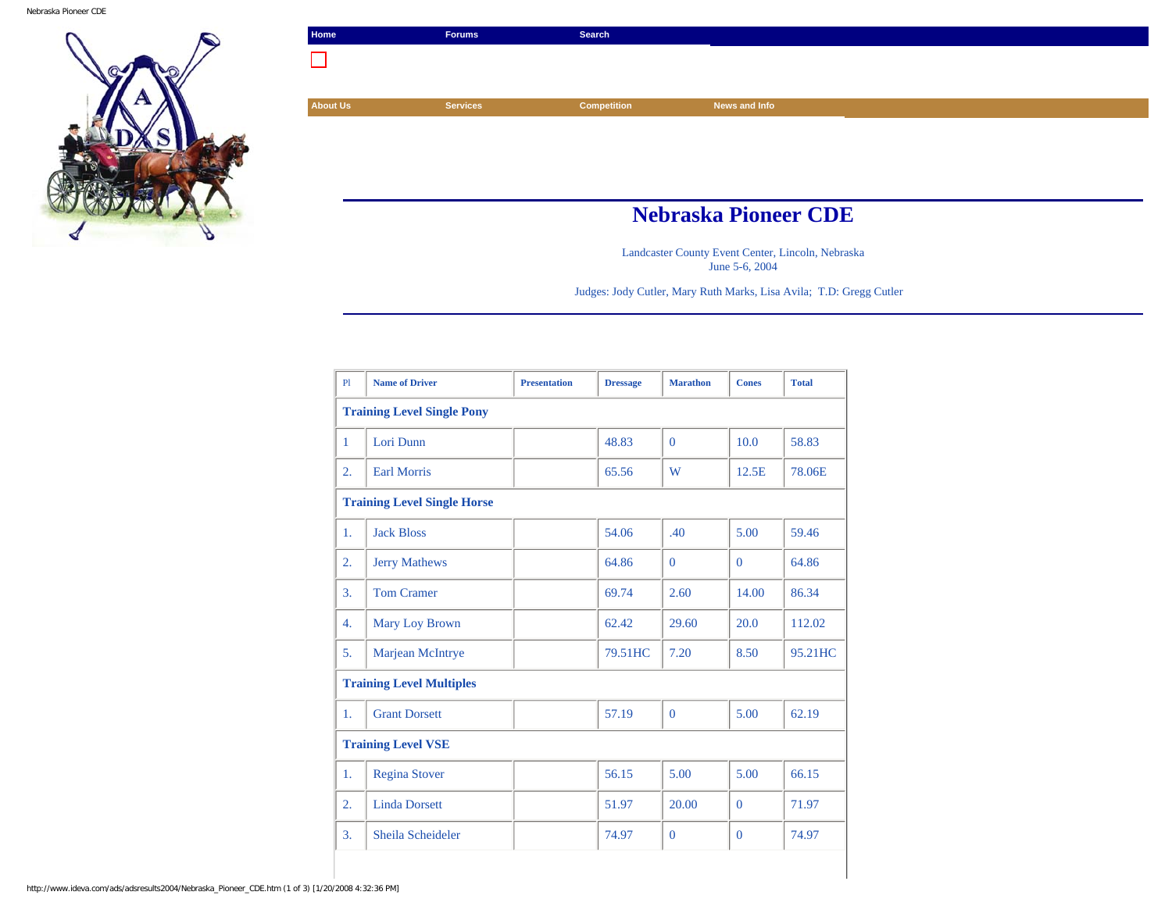

| Home            | <b>Forums</b>               | Search             |               |  |
|-----------------|-----------------------------|--------------------|---------------|--|
| ×.              |                             |                    |               |  |
|                 |                             |                    |               |  |
| <b>About Us</b> | <b>Services</b>             | <b>Competition</b> | News and Info |  |
|                 |                             |                    |               |  |
|                 |                             |                    |               |  |
|                 |                             |                    |               |  |
|                 |                             |                    |               |  |
|                 | <b>Nebraska Pioneer CDE</b> |                    |               |  |

Landcaster County Event Center, Lincoln, Nebraska June 5-6, 2004

Judges: Jody Cutler, Mary Ruth Marks, Lisa Avila; T.D: Gregg Cutler

| P1               | <b>Name of Driver</b>              | <b>Presentation</b> | <b>Dressage</b> | <b>Marathon</b> | <b>Cones</b> | <b>Total</b> |
|------------------|------------------------------------|---------------------|-----------------|-----------------|--------------|--------------|
|                  | <b>Training Level Single Pony</b>  |                     |                 |                 |              |              |
| $\mathbf{1}$     | Lori Dunn                          |                     | 48.83           | $\Omega$        | 10.0         | 58.83        |
| 2.               | <b>Earl Morris</b>                 |                     | 65.56           | W               | 12.5E        | 78.06E       |
|                  | <b>Training Level Single Horse</b> |                     |                 |                 |              |              |
| 1.               | <b>Jack Bloss</b>                  |                     | 54.06           | .40             | 5.00         | 59.46        |
| $\overline{2}$ . | <b>Jerry Mathews</b>               |                     | 64.86           | $\Omega$        | $\Omega$     | 64.86        |
| 3.               | <b>Tom Cramer</b>                  |                     | 69.74           | 2.60            | 14.00        | 86.34        |
| 4.               | Mary Loy Brown                     |                     | 62.42           | 29.60           | 20.0         | 112.02       |
| 5.               | Marjean McIntrye                   |                     | 79.51HC         | 7.20            | 8.50         | 95.21HC      |
|                  | <b>Training Level Multiples</b>    |                     |                 |                 |              |              |
| 1.               | <b>Grant Dorsett</b>               |                     | 57.19           | $\theta$        | 5.00         | 62.19        |
|                  | <b>Training Level VSE</b>          |                     |                 |                 |              |              |
| 1.               | <b>Regina Stover</b>               |                     | 56.15           | 5.00            | 5.00         | 66.15        |
| $\overline{2}$ . | <b>Linda Dorsett</b>               |                     | 51.97           | 20.00           | $\Omega$     | 71.97        |
| 3.               | Sheila Scheideler                  |                     | 74.97           | $\mathbf{0}$    | $\mathbf{0}$ | 74.97        |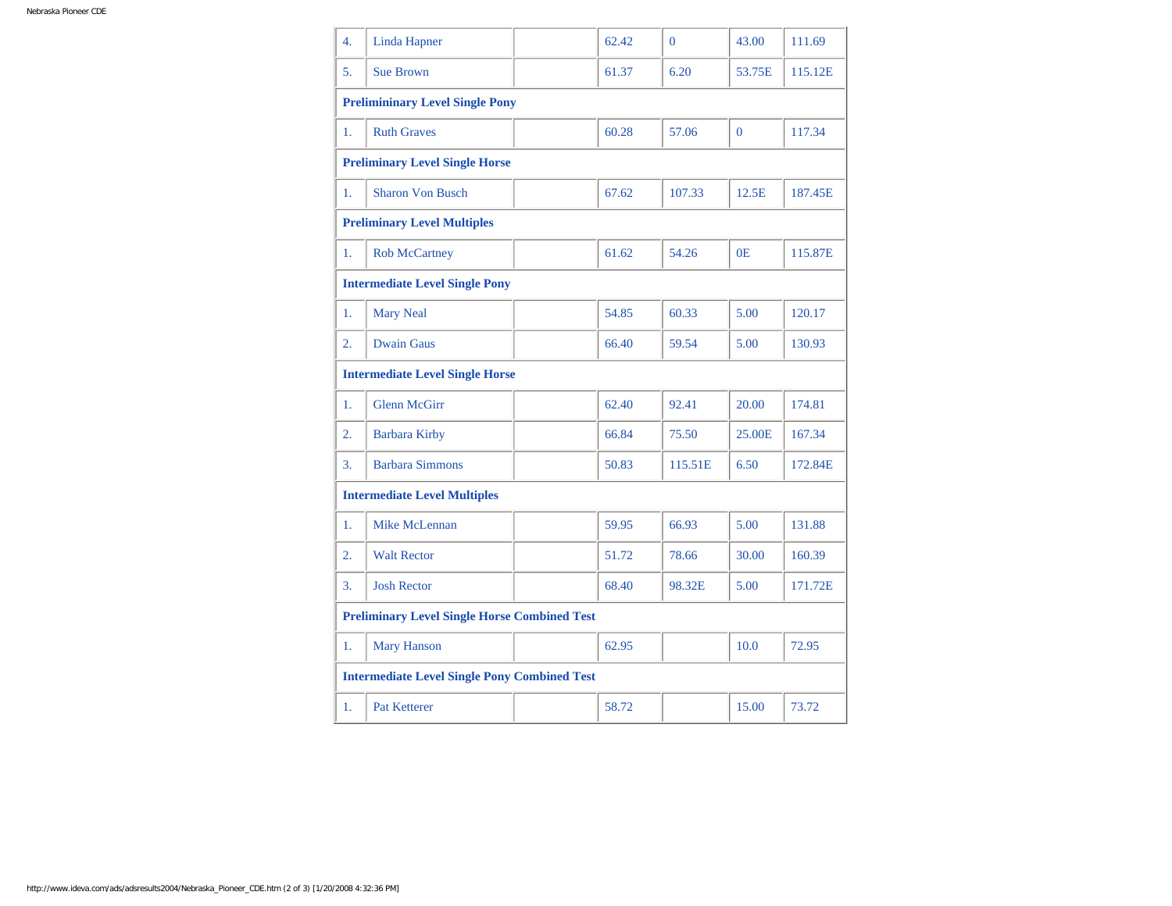| $\overline{4}$ .                    | <b>Linda Hapner</b>                                 |  | 62.42 | $\Omega$ | 43.00          | 111.69  |
|-------------------------------------|-----------------------------------------------------|--|-------|----------|----------------|---------|
| 5.                                  | <b>Sue Brown</b>                                    |  | 61.37 | 6.20     | 53.75E         | 115.12E |
|                                     | <b>Prelimininary Level Single Pony</b>              |  |       |          |                |         |
| 1.                                  | <b>Ruth Graves</b>                                  |  | 60.28 | 57.06    | $\overline{0}$ | 117.34  |
|                                     | <b>Preliminary Level Single Horse</b>               |  |       |          |                |         |
| 1.                                  | <b>Sharon Von Busch</b>                             |  | 67.62 | 107.33   | 12.5E          | 187.45E |
|                                     | <b>Preliminary Level Multiples</b>                  |  |       |          |                |         |
| 1.                                  | <b>Rob McCartney</b>                                |  | 61.62 | 54.26    | 0E             | 115.87E |
|                                     | <b>Intermediate Level Single Pony</b>               |  |       |          |                |         |
| 1.                                  | <b>Mary Neal</b>                                    |  | 54.85 | 60.33    | 5.00           | 120.17  |
| $\overline{2}$ .                    | <b>Dwain Gaus</b>                                   |  | 66.40 | 59.54    | 5.00           | 130.93  |
|                                     | <b>Intermediate Level Single Horse</b>              |  |       |          |                |         |
| 1.                                  | <b>Glenn McGirr</b>                                 |  | 62.40 | 92.41    | 20.00          | 174.81  |
| 2.                                  | <b>Barbara Kirby</b>                                |  | 66.84 | 75.50    | 25.00E         | 167.34  |
| 3.                                  | <b>Barbara Simmons</b>                              |  | 50.83 | 115.51E  | 6.50           | 172.84E |
| <b>Intermediate Level Multiples</b> |                                                     |  |       |          |                |         |
| 1.                                  | <b>Mike McLennan</b>                                |  | 59.95 | 66.93    | 5.00           | 131.88  |
| 2.                                  | <b>Walt Rector</b>                                  |  | 51.72 | 78.66    | 30.00          | 160.39  |
| 3.                                  | <b>Josh Rector</b>                                  |  | 68.40 | 98.32E   | 5.00           | 171.72E |
|                                     | <b>Preliminary Level Single Horse Combined Test</b> |  |       |          |                |         |
| 1.                                  | <b>Mary Hanson</b>                                  |  | 62.95 |          | 10.0           | 72.95   |
|                                     | <b>Intermediate Level Single Pony Combined Test</b> |  |       |          |                |         |
| 1.                                  | <b>Pat Ketterer</b>                                 |  | 58.72 |          | 15.00          | 73.72   |